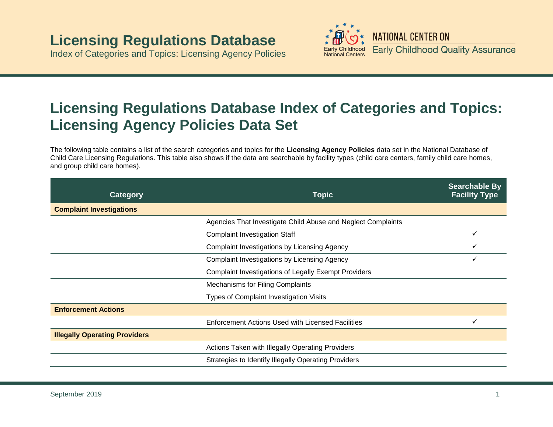## **Licensing Regulations Database**

Index of Categories and Topics: Licensing Agency Policies



## **Licensing Regulations Database Index of Categories and Topics: Licensing Agency Policies Data Set**

The following table contains a list of the search categories and topics for the **Licensing Agency Policies** data set in the National Database of Child Care Licensing Regulations. This table also shows if the data are searchable by facility types (child care centers, family child care homes, and group child care homes).

| <b>Category</b>                      | <b>Topic</b>                                                 | <b>Searchable By</b><br><b>Facility Type</b> |
|--------------------------------------|--------------------------------------------------------------|----------------------------------------------|
| <b>Complaint Investigations</b>      |                                                              |                                              |
|                                      | Agencies That Investigate Child Abuse and Neglect Complaints |                                              |
|                                      | <b>Complaint Investigation Staff</b>                         |                                              |
|                                      | Complaint Investigations by Licensing Agency                 | ✓                                            |
|                                      | Complaint Investigations by Licensing Agency                 |                                              |
|                                      | <b>Complaint Investigations of Legally Exempt Providers</b>  |                                              |
|                                      | <b>Mechanisms for Filing Complaints</b>                      |                                              |
|                                      | Types of Complaint Investigation Visits                      |                                              |
| <b>Enforcement Actions</b>           |                                                              |                                              |
|                                      | <b>Enforcement Actions Used with Licensed Facilities</b>     |                                              |
| <b>Illegally Operating Providers</b> |                                                              |                                              |
|                                      | Actions Taken with Illegally Operating Providers             |                                              |
|                                      | Strategies to Identify Illegally Operating Providers         |                                              |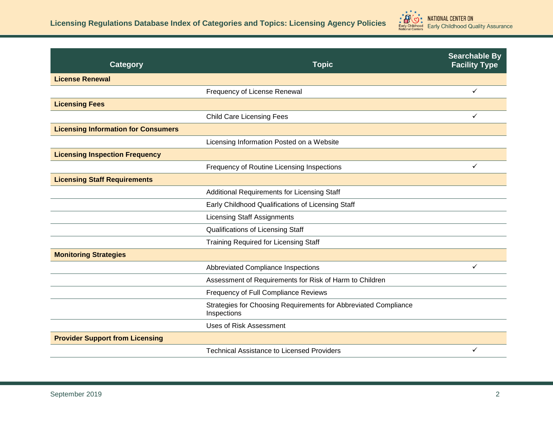

| <b>Category</b>                            | <b>Topic</b>                                                                   | <b>Searchable By</b><br><b>Facility Type</b> |
|--------------------------------------------|--------------------------------------------------------------------------------|----------------------------------------------|
| <b>License Renewal</b>                     |                                                                                |                                              |
|                                            | Frequency of License Renewal                                                   | $\checkmark$                                 |
| <b>Licensing Fees</b>                      |                                                                                |                                              |
|                                            | <b>Child Care Licensing Fees</b>                                               | ✓                                            |
| <b>Licensing Information for Consumers</b> |                                                                                |                                              |
|                                            | Licensing Information Posted on a Website                                      |                                              |
| <b>Licensing Inspection Frequency</b>      |                                                                                |                                              |
|                                            | Frequency of Routine Licensing Inspections                                     | $\checkmark$                                 |
| <b>Licensing Staff Requirements</b>        |                                                                                |                                              |
|                                            | Additional Requirements for Licensing Staff                                    |                                              |
|                                            | Early Childhood Qualifications of Licensing Staff                              |                                              |
|                                            | <b>Licensing Staff Assignments</b>                                             |                                              |
|                                            | Qualifications of Licensing Staff                                              |                                              |
|                                            | <b>Training Required for Licensing Staff</b>                                   |                                              |
| <b>Monitoring Strategies</b>               |                                                                                |                                              |
|                                            | Abbreviated Compliance Inspections                                             | $\checkmark$                                 |
|                                            | Assessment of Requirements for Risk of Harm to Children                        |                                              |
|                                            | Frequency of Full Compliance Reviews                                           |                                              |
|                                            | Strategies for Choosing Requirements for Abbreviated Compliance<br>Inspections |                                              |
|                                            | <b>Uses of Risk Assessment</b>                                                 |                                              |
| <b>Provider Support from Licensing</b>     |                                                                                |                                              |
|                                            | <b>Technical Assistance to Licensed Providers</b>                              | ✓                                            |